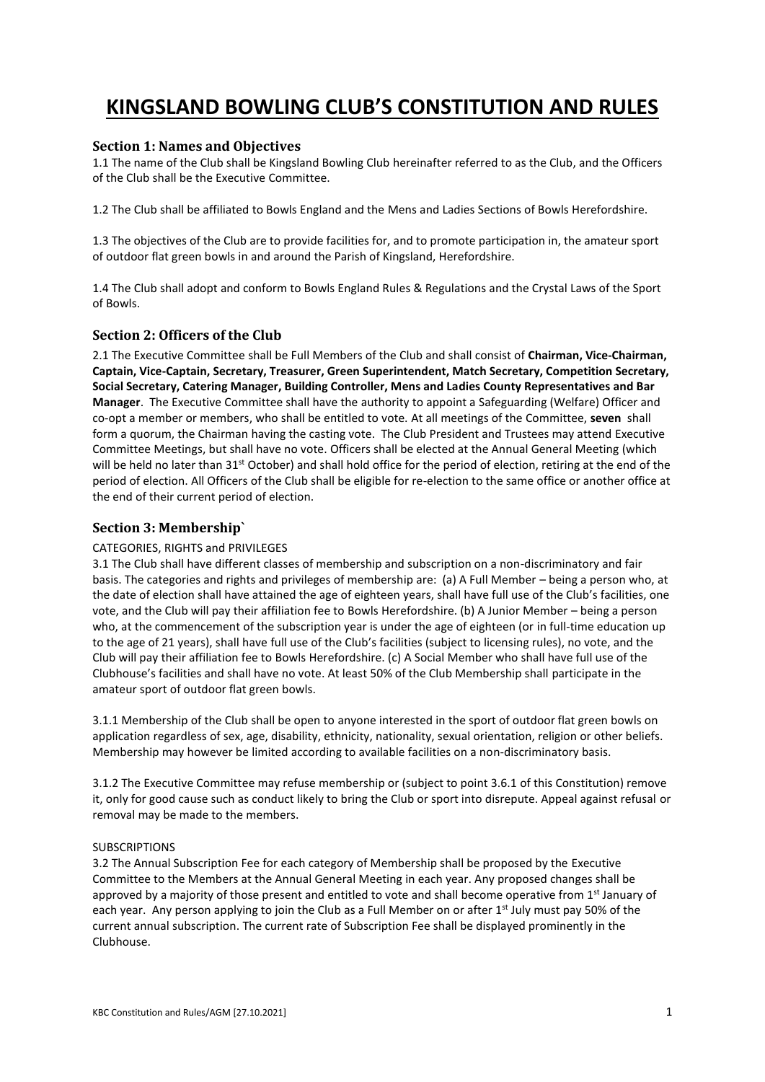# **KINGSLAND BOWLING CLUB'S CONSTITUTION AND RULES**

## **Section 1: Names and Objectives**

1.1 The name of the Club shall be Kingsland Bowling Club hereinafter referred to as the Club, and the Officers of the Club shall be the Executive Committee.

1.2 The Club shall be affiliated to Bowls England and the Mens and Ladies Sections of Bowls Herefordshire.

1.3 The objectives of the Club are to provide facilities for, and to promote participation in, the amateur sport of outdoor flat green bowls in and around the Parish of Kingsland, Herefordshire.

1.4 The Club shall adopt and conform to Bowls England Rules & Regulations and the Crystal Laws of the Sport of Bowls.

## **Section 2: Officers of the Club**

2.1 The Executive Committee shall be Full Members of the Club and shall consist of **Chairman, Vice-Chairman, Captain, Vice-Captain, Secretary, Treasurer, Green Superintendent, Match Secretary, Competition Secretary, Social Secretary, Catering Manager, Building Controller, Mens and Ladies County Representatives and Bar Manager**. The Executive Committee shall have the authority to appoint a Safeguarding (Welfare) Officer and co-opt a member or members, who shall be entitled to vote. At all meetings of the Committee, **seven** shall form a quorum, the Chairman having the casting vote. The Club President and Trustees may attend Executive Committee Meetings, but shall have no vote. Officers shall be elected at the Annual General Meeting (which will be held no later than 31<sup>st</sup> October) and shall hold office for the period of election, retiring at the end of the period of election. All Officers of the Club shall be eligible for re-election to the same office or another office at the end of their current period of election.

## **Section 3: Membership`**

#### CATEGORIES, RIGHTS and PRIVILEGES

3.1 The Club shall have different classes of membership and subscription on a non-discriminatory and fair basis. The categories and rights and privileges of membership are: (a) A Full Member – being a person who, at the date of election shall have attained the age of eighteen years, shall have full use of the Club's facilities, one vote, and the Club will pay their affiliation fee to Bowls Herefordshire. (b) A Junior Member – being a person who, at the commencement of the subscription year is under the age of eighteen (or in full-time education up to the age of 21 years), shall have full use of the Club's facilities (subject to licensing rules), no vote, and the Club will pay their affiliation fee to Bowls Herefordshire. (c) A Social Member who shall have full use of the Clubhouse's facilities and shall have no vote. At least 50% of the Club Membership shall participate in the amateur sport of outdoor flat green bowls.

3.1.1 Membership of the Club shall be open to anyone interested in the sport of outdoor flat green bowls on application regardless of sex, age, disability, ethnicity, nationality, sexual orientation, religion or other beliefs. Membership may however be limited according to available facilities on a non-discriminatory basis.

3.1.2 The Executive Committee may refuse membership or (subject to point 3.6.1 of this Constitution) remove it, only for good cause such as conduct likely to bring the Club or sport into disrepute. Appeal against refusal or removal may be made to the members.

#### SUBSCRIPTIONS

3.2 The Annual Subscription Fee for each category of Membership shall be proposed by the Executive Committee to the Members at the Annual General Meeting in each year. Any proposed changes shall be approved by a majority of those present and entitled to vote and shall become operative from 1<sup>st</sup> January of each year. Any person applying to join the Club as a Full Member on or after 1<sup>st</sup> July must pay 50% of the current annual subscription. The current rate of Subscription Fee shall be displayed prominently in the Clubhouse.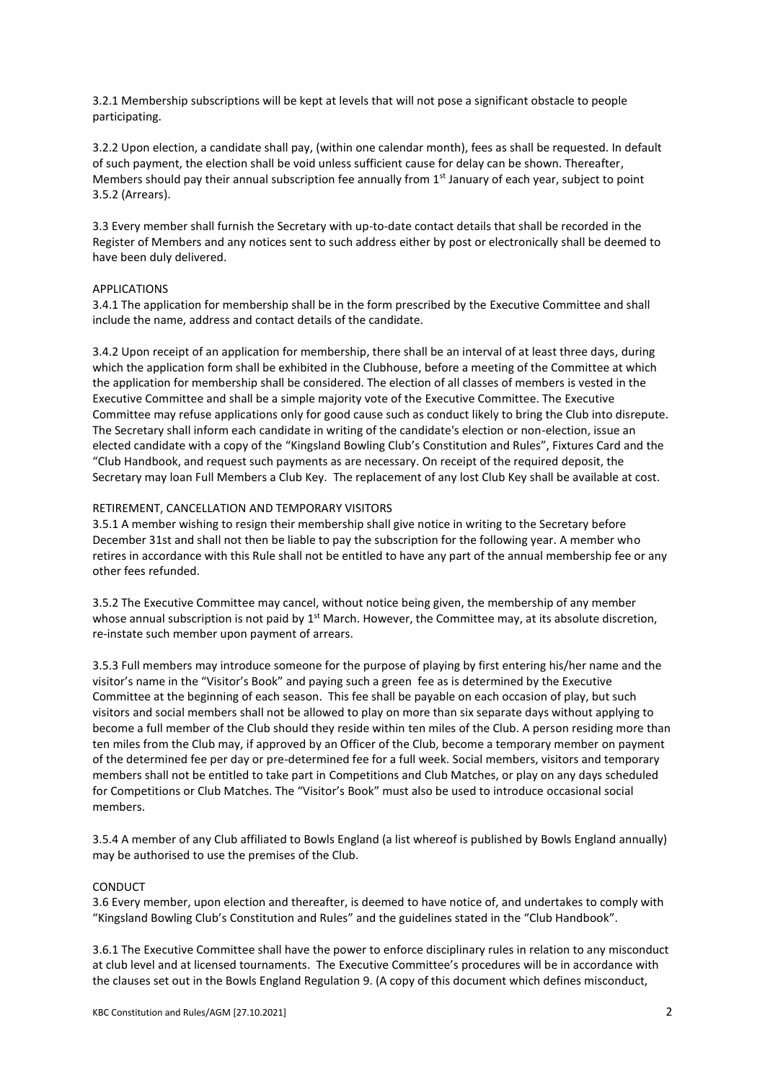3.2.1 Membership subscriptions will be kept at levels that will not pose a significant obstacle to people participating.

3.2.2 Upon election, a candidate shall pay, (within one calendar month), fees as shall be requested. In default of such payment, the election shall be void unless sufficient cause for delay can be shown. Thereafter, Members should pay their annual subscription fee annually from  $1<sup>st</sup>$  January of each year, subject to point 3.5.2 (Arrears).

3.3 Every member shall furnish the Secretary with up-to-date contact details that shall be recorded in the Register of Members and any notices sent to such address either by post or electronically shall be deemed to have been duly delivered.

#### APPLICATIONS

3.4.1 The application for membership shall be in the form prescribed by the Executive Committee and shall include the name, address and contact details of the candidate.

3.4.2 Upon receipt of an application for membership, there shall be an interval of at least three days, during which the application form shall be exhibited in the Clubhouse, before a meeting of the Committee at which the application for membership shall be considered. The election of all classes of members is vested in the Executive Committee and shall be a simple majority vote of the Executive Committee. The Executive Committee may refuse applications only for good cause such as conduct likely to bring the Club into disrepute. The Secretary shall inform each candidate in writing of the candidate's election or non-election, issue an elected candidate with a copy of the "Kingsland Bowling Club's Constitution and Rules", Fixtures Card and the "Club Handbook, and request such payments as are necessary. On receipt of the required deposit, the Secretary may loan Full Members a Club Key. The replacement of any lost Club Key shall be available at cost.

#### RETIREMENT, CANCELLATION AND TEMPORARY VISITORS

3.5.1 A member wishing to resign their membership shall give notice in writing to the Secretary before December 31st and shall not then be liable to pay the subscription for the following year. A member who retires in accordance with this Rule shall not be entitled to have any part of the annual membership fee or any other fees refunded.

3.5.2 The Executive Committee may cancel, without notice being given, the membership of any member whose annual subscription is not paid by  $1<sup>st</sup>$  March. However, the Committee may, at its absolute discretion, re-instate such member upon payment of arrears.

3.5.3 Full members may introduce someone for the purpose of playing by first entering his/her name and the visitor's name in the "Visitor's Book" and paying such a green fee as is determined by the Executive Committee at the beginning of each season. This fee shall be payable on each occasion of play, but such visitors and social members shall not be allowed to play on more than six separate days without applying to become a full member of the Club should they reside within ten miles of the Club. A person residing more than ten miles from the Club may, if approved by an Officer of the Club, become a temporary member on payment of the determined fee per day or pre-determined fee for a full week. Social members, visitors and temporary members shall not be entitled to take part in Competitions and Club Matches, or play on any days scheduled for Competitions or Club Matches. The "Visitor's Book" must also be used to introduce occasional social members.

3.5.4 A member of any Club affiliated to Bowls England (a list whereof is published by Bowls England annually) may be authorised to use the premises of the Club.

#### CONDUCT

3.6 Every member, upon election and thereafter, is deemed to have notice of, and undertakes to comply with "Kingsland Bowling Club's Constitution and Rules" and the guidelines stated in the "Club Handbook".

3.6.1 The Executive Committee shall have the power to enforce disciplinary rules in relation to any misconduct at club level and at licensed tournaments. The Executive Committee's procedures will be in accordance with the clauses set out in the Bowls England Regulation 9. (A copy of this document which defines misconduct,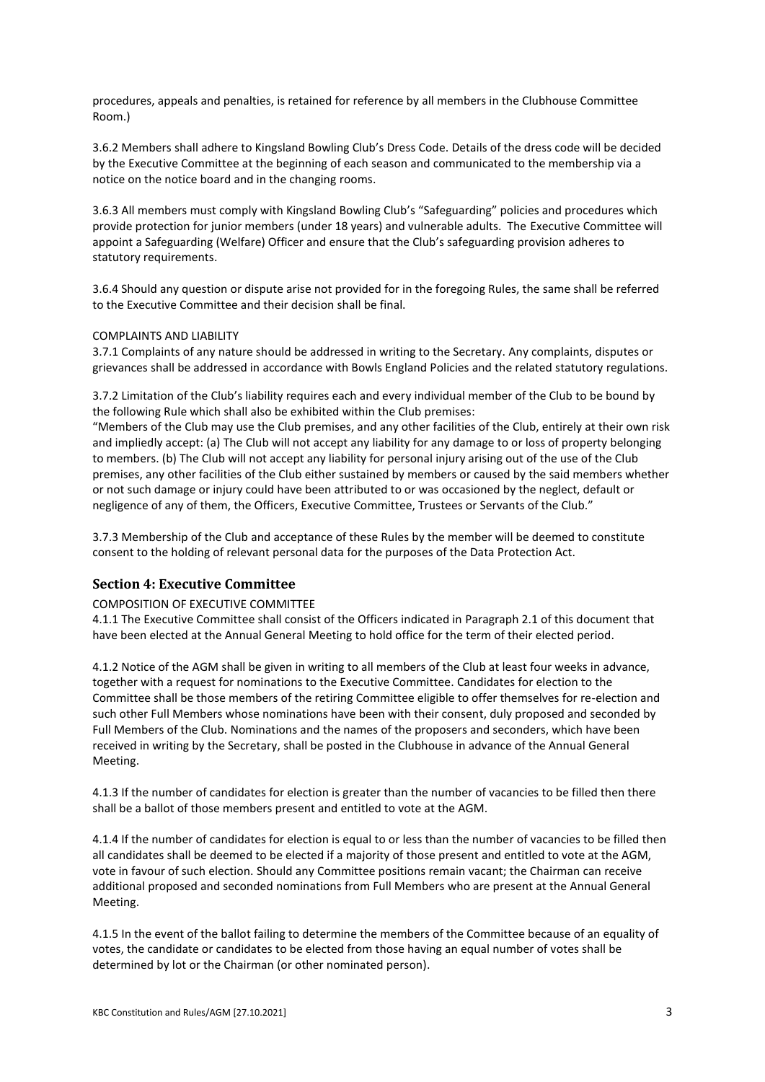procedures, appeals and penalties, is retained for reference by all members in the Clubhouse Committee Room.)

3.6.2 Members shall adhere to Kingsland Bowling Club's Dress Code. Details of the dress code will be decided by the Executive Committee at the beginning of each season and communicated to the membership via a notice on the notice board and in the changing rooms.

3.6.3 All members must comply with Kingsland Bowling Club's "Safeguarding" policies and procedures which provide protection for junior members (under 18 years) and vulnerable adults. The Executive Committee will appoint a Safeguarding (Welfare) Officer and ensure that the Club's safeguarding provision adheres to statutory requirements.

3.6.4 Should any question or dispute arise not provided for in the foregoing Rules, the same shall be referred to the Executive Committee and their decision shall be final.

#### COMPLAINTS AND LIABILITY

3.7.1 Complaints of any nature should be addressed in writing to the Secretary. Any complaints, disputes or grievances shall be addressed in accordance with Bowls England Policies and the related statutory regulations.

3.7.2 Limitation of the Club's liability requires each and every individual member of the Club to be bound by the following Rule which shall also be exhibited within the Club premises:

"Members of the Club may use the Club premises, and any other facilities of the Club, entirely at their own risk and impliedly accept: (a) The Club will not accept any liability for any damage to or loss of property belonging to members. (b) The Club will not accept any liability for personal injury arising out of the use of the Club premises, any other facilities of the Club either sustained by members or caused by the said members whether or not such damage or injury could have been attributed to or was occasioned by the neglect, default or negligence of any of them, the Officers, Executive Committee, Trustees or Servants of the Club."

3.7.3 Membership of the Club and acceptance of these Rules by the member will be deemed to constitute consent to the holding of relevant personal data for the purposes of the Data Protection Act.

# **Section 4: Executive Committee**

#### COMPOSITION OF EXECUTIVE COMMITTEE

4.1.1 The Executive Committee shall consist of the Officers indicated in Paragraph 2.1 of this document that have been elected at the Annual General Meeting to hold office for the term of their elected period.

4.1.2 Notice of the AGM shall be given in writing to all members of the Club at least four weeks in advance, together with a request for nominations to the Executive Committee. Candidates for election to the Committee shall be those members of the retiring Committee eligible to offer themselves for re-election and such other Full Members whose nominations have been with their consent, duly proposed and seconded by Full Members of the Club. Nominations and the names of the proposers and seconders, which have been received in writing by the Secretary, shall be posted in the Clubhouse in advance of the Annual General Meeting.

4.1.3 If the number of candidates for election is greater than the number of vacancies to be filled then there shall be a ballot of those members present and entitled to vote at the AGM.

4.1.4 If the number of candidates for election is equal to or less than the number of vacancies to be filled then all candidates shall be deemed to be elected if a majority of those present and entitled to vote at the AGM, vote in favour of such election. Should any Committee positions remain vacant; the Chairman can receive additional proposed and seconded nominations from Full Members who are present at the Annual General Meeting.

4.1.5 In the event of the ballot failing to determine the members of the Committee because of an equality of votes, the candidate or candidates to be elected from those having an equal number of votes shall be determined by lot or the Chairman (or other nominated person).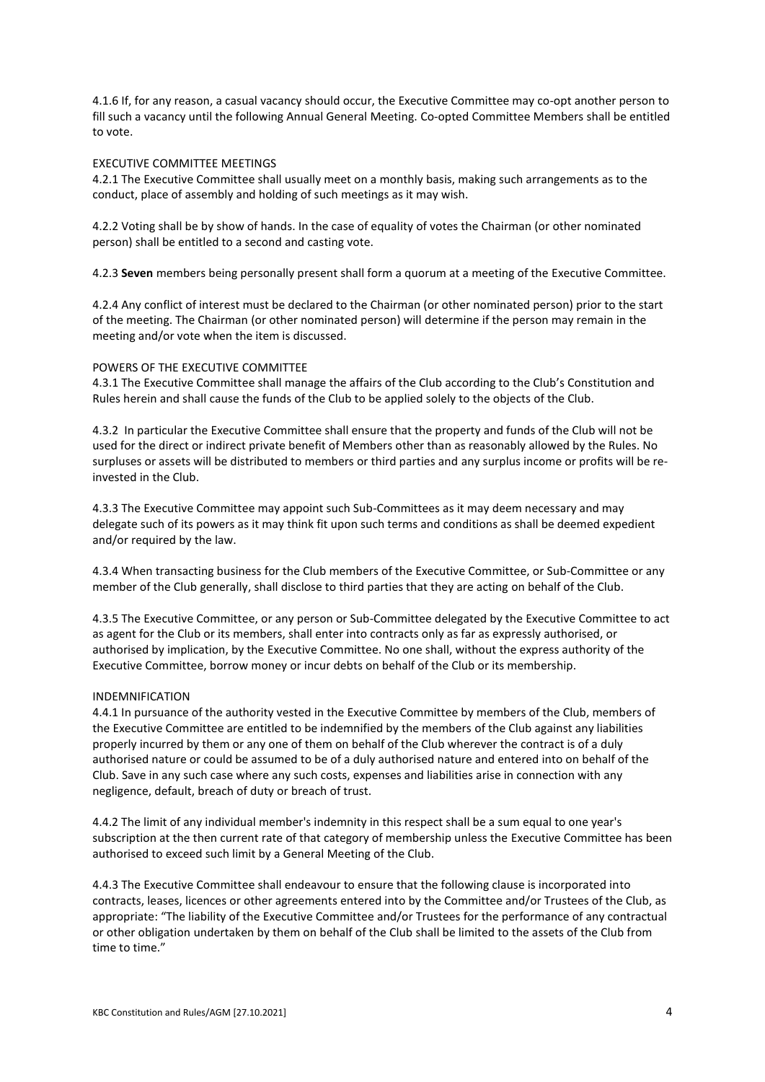4.1.6 If, for any reason, a casual vacancy should occur, the Executive Committee may co-opt another person to fill such a vacancy until the following Annual General Meeting. Co-opted Committee Members shall be entitled to vote.

#### EXECUTIVE COMMITTEE MEETINGS

4.2.1 The Executive Committee shall usually meet on a monthly basis, making such arrangements as to the conduct, place of assembly and holding of such meetings as it may wish.

4.2.2 Voting shall be by show of hands. In the case of equality of votes the Chairman (or other nominated person) shall be entitled to a second and casting vote.

4.2.3 **Seven** members being personally present shall form a quorum at a meeting of the Executive Committee.

4.2.4 Any conflict of interest must be declared to the Chairman (or other nominated person) prior to the start of the meeting. The Chairman (or other nominated person) will determine if the person may remain in the meeting and/or vote when the item is discussed.

#### POWERS OF THE EXECUTIVE COMMITTEE

4.3.1 The Executive Committee shall manage the affairs of the Club according to the Club's Constitution and Rules herein and shall cause the funds of the Club to be applied solely to the objects of the Club.

4.3.2 In particular the Executive Committee shall ensure that the property and funds of the Club will not be used for the direct or indirect private benefit of Members other than as reasonably allowed by the Rules. No surpluses or assets will be distributed to members or third parties and any surplus income or profits will be reinvested in the Club.

4.3.3 The Executive Committee may appoint such Sub-Committees as it may deem necessary and may delegate such of its powers as it may think fit upon such terms and conditions as shall be deemed expedient and/or required by the law.

4.3.4 When transacting business for the Club members of the Executive Committee, or Sub-Committee or any member of the Club generally, shall disclose to third parties that they are acting on behalf of the Club.

4.3.5 The Executive Committee, or any person or Sub-Committee delegated by the Executive Committee to act as agent for the Club or its members, shall enter into contracts only as far as expressly authorised, or authorised by implication, by the Executive Committee. No one shall, without the express authority of the Executive Committee, borrow money or incur debts on behalf of the Club or its membership.

#### INDEMNIFICATION

4.4.1 In pursuance of the authority vested in the Executive Committee by members of the Club, members of the Executive Committee are entitled to be indemnified by the members of the Club against any liabilities properly incurred by them or any one of them on behalf of the Club wherever the contract is of a duly authorised nature or could be assumed to be of a duly authorised nature and entered into on behalf of the Club. Save in any such case where any such costs, expenses and liabilities arise in connection with any negligence, default, breach of duty or breach of trust.

4.4.2 The limit of any individual member's indemnity in this respect shall be a sum equal to one year's subscription at the then current rate of that category of membership unless the Executive Committee has been authorised to exceed such limit by a General Meeting of the Club.

4.4.3 The Executive Committee shall endeavour to ensure that the following clause is incorporated into contracts, leases, licences or other agreements entered into by the Committee and/or Trustees of the Club, as appropriate: "The liability of the Executive Committee and/or Trustees for the performance of any contractual or other obligation undertaken by them on behalf of the Club shall be limited to the assets of the Club from time to time."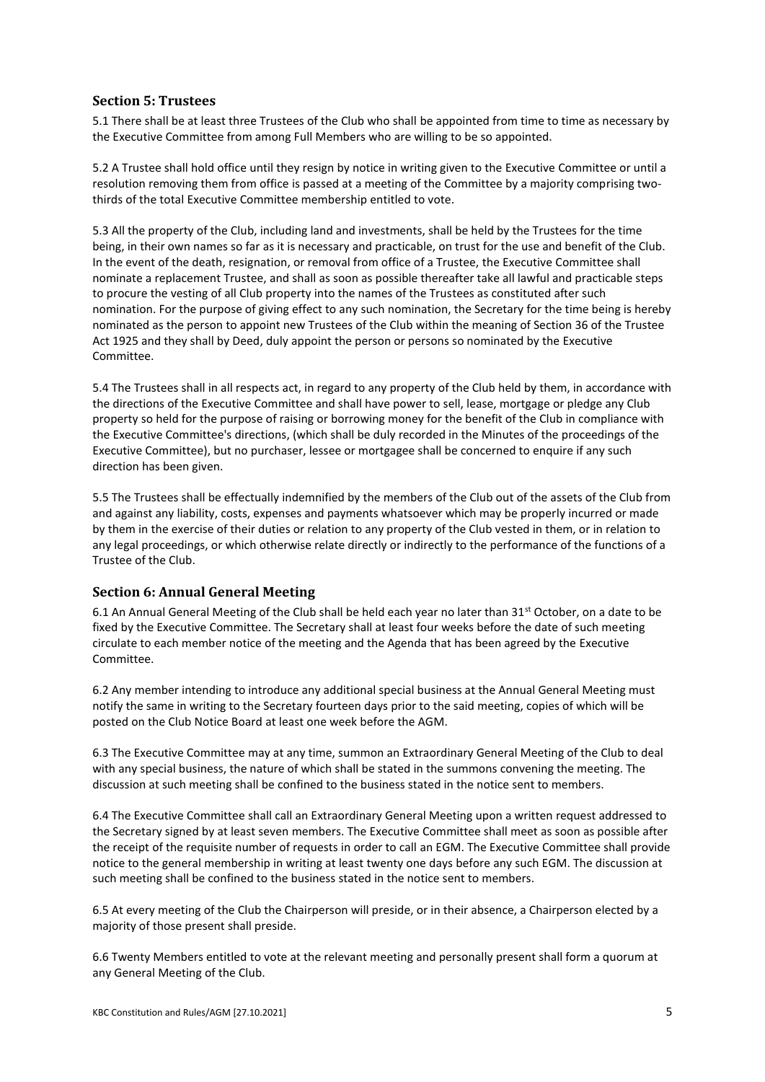## **Section 5: Trustees**

5.1 There shall be at least three Trustees of the Club who shall be appointed from time to time as necessary by the Executive Committee from among Full Members who are willing to be so appointed.

5.2 A Trustee shall hold office until they resign by notice in writing given to the Executive Committee or until a resolution removing them from office is passed at a meeting of the Committee by a majority comprising twothirds of the total Executive Committee membership entitled to vote.

5.3 All the property of the Club, including land and investments, shall be held by the Trustees for the time being, in their own names so far as it is necessary and practicable, on trust for the use and benefit of the Club. In the event of the death, resignation, or removal from office of a Trustee, the Executive Committee shall nominate a replacement Trustee, and shall as soon as possible thereafter take all lawful and practicable steps to procure the vesting of all Club property into the names of the Trustees as constituted after such nomination. For the purpose of giving effect to any such nomination, the Secretary for the time being is hereby nominated as the person to appoint new Trustees of the Club within the meaning of Section 36 of the Trustee Act 1925 and they shall by Deed, duly appoint the person or persons so nominated by the Executive Committee.

5.4 The Trustees shall in all respects act, in regard to any property of the Club held by them, in accordance with the directions of the Executive Committee and shall have power to sell, lease, mortgage or pledge any Club property so held for the purpose of raising or borrowing money for the benefit of the Club in compliance with the Executive Committee's directions, (which shall be duly recorded in the Minutes of the proceedings of the Executive Committee), but no purchaser, lessee or mortgagee shall be concerned to enquire if any such direction has been given.

5.5 The Trustees shall be effectually indemnified by the members of the Club out of the assets of the Club from and against any liability, costs, expenses and payments whatsoever which may be properly incurred or made by them in the exercise of their duties or relation to any property of the Club vested in them, or in relation to any legal proceedings, or which otherwise relate directly or indirectly to the performance of the functions of a Trustee of the Club.

# **Section 6: Annual General Meeting**

6.1 An Annual General Meeting of the Club shall be held each year no later than 31<sup>st</sup> October, on a date to be fixed by the Executive Committee. The Secretary shall at least four weeks before the date of such meeting circulate to each member notice of the meeting and the Agenda that has been agreed by the Executive Committee.

6.2 Any member intending to introduce any additional special business at the Annual General Meeting must notify the same in writing to the Secretary fourteen days prior to the said meeting, copies of which will be posted on the Club Notice Board at least one week before the AGM.

6.3 The Executive Committee may at any time, summon an Extraordinary General Meeting of the Club to deal with any special business, the nature of which shall be stated in the summons convening the meeting. The discussion at such meeting shall be confined to the business stated in the notice sent to members.

6.4 The Executive Committee shall call an Extraordinary General Meeting upon a written request addressed to the Secretary signed by at least seven members. The Executive Committee shall meet as soon as possible after the receipt of the requisite number of requests in order to call an EGM. The Executive Committee shall provide notice to the general membership in writing at least twenty one days before any such EGM. The discussion at such meeting shall be confined to the business stated in the notice sent to members.

6.5 At every meeting of the Club the Chairperson will preside, or in their absence, a Chairperson elected by a majority of those present shall preside.

6.6 Twenty Members entitled to vote at the relevant meeting and personally present shall form a quorum at any General Meeting of the Club.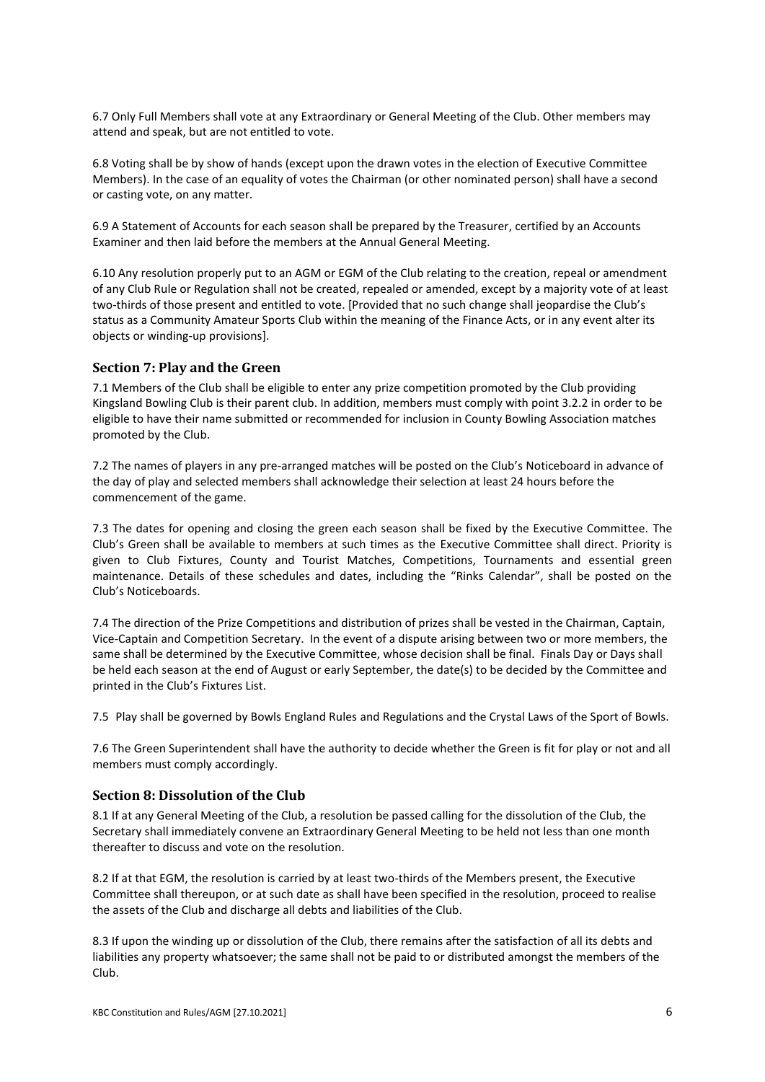6.7 Only Full Members shall vote at any Extraordinary or General Meeting of the Club. Other members may attend and speak, but are not entitled to vote.

6.8 Voting shall be by show of hands (except upon the drawn votes in the election of Executive Committee Members). In the case of an equality of votes the Chairman (or other nominated person) shall have a second or casting vote, on any matter.

6.9 A Statement of Accounts for each season shall be prepared by the Treasurer, certified by an Accounts Examiner and then laid before the members at the Annual General Meeting.

6.10 Any resolution properly put to an AGM or EGM of the Club relating to the creation, repeal or amendment of any Club Rule or Regulation shall not be created, repealed or amended, except by a majority vote of at least two-thirds of those present and entitled to vote. [Provided that no such change shall jeopardise the Club's status as a Community Amateur Sports Club within the meaning of the Finance Acts, or in any event alter its objects or winding-up provisions].

## **Section 7: Play and the Green**

7.1 Members of the Club shall be eligible to enter any prize competition promoted by the Club providing Kingsland Bowling Club is their parent club. In addition, members must comply with point 3.2.2 in order to be eligible to have their name submitted or recommended for inclusion in County Bowling Association matches promoted by the Club.

7.2 The names of players in any pre-arranged matches will be posted on the Club's Noticeboard in advance of the day of play and selected members shall acknowledge their selection at least 24 hours before the commencement of the game.

7.3 The dates for opening and closing the green each season shall be fixed by the Executive Committee. The Club's Green shall be available to members at such times as the Executive Committee shall direct. Priority is given to Club Fixtures, County and Tourist Matches, Competitions, Tournaments and essential green maintenance. Details of these schedules and dates, including the "Rinks Calendar", shall be posted on the Club's Noticeboards.

7.4 The direction of the Prize Competitions and distribution of prizes shall be vested in the Chairman, Captain, Vice-Captain and Competition Secretary. In the event of a dispute arising between two or more members, the same shall be determined by the Executive Committee, whose decision shall be final. Finals Day or Days shall be held each season at the end of August or early September, the date(s) to be decided by the Committee and printed in the Club's Fixtures List.

7.5 Play shall be governed by Bowls England Rules and Regulations and the Crystal Laws of the Sport of Bowls.

7.6 The Green Superintendent shall have the authority to decide whether the Green is fit for play or not and all members must comply accordingly.

#### **Section 8: Dissolution of the Club**

8.1 If at any General Meeting of the Club, a resolution be passed calling for the dissolution of the Club, the Secretary shall immediately convene an Extraordinary General Meeting to be held not less than one month thereafter to discuss and vote on the resolution.

8.2 If at that EGM, the resolution is carried by at least two-thirds of the Members present, the Executive Committee shall thereupon, or at such date as shall have been specified in the resolution, proceed to realise the assets of the Club and discharge all debts and liabilities of the Club.

8.3 If upon the winding up or dissolution of the Club, there remains after the satisfaction of all its debts and liabilities any property whatsoever; the same shall not be paid to or distributed amongst the members of the Club.